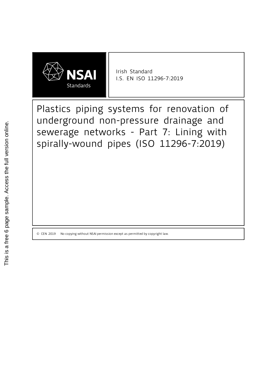

Irish Standard I.S. EN ISO 11296-7:2019

Plastics piping systems for renovation of underground non-pressure drainage and sewerage networks - Part 7: Lining with spirally-wound pipes (ISO 11296-7:2019) Examples the central control of the first control of the first control of the first control of the first control of the first control of the first control of the first control of the full version on the full version on  $\frac$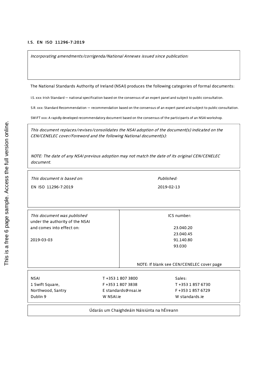#### I.S. EN ISO 11296-7:2019

Incorporating amendments/corrigenda/National Annexes issued since publication:

The National Standards Authority of Ireland (NSAI) produces the following categories of formal documents:

I.S. xxx: Irish Standard — national specification based on the consensus of an expert panel and subject to public consultation.

S.R. xxx: Standard Recommendation - recommendation based on the consensus of an expert panel and subject to public consultation.

SWiFT xxx: A rapidly developed recommendatory document based on the consensus of the participants of an NSAI workshop.

This document replaces/revises/consolidates the NSAI adoption of the document(s) indicated on the CEN/CENELEC cover/Foreword and the following National document(s):

NOTE: The date of any NSAI previous adoption may not match the date of its original CEN/CENELEC document.

This document is based on: EN ISO 11296-7:2019

Published: 2019-02-13

| This document was published<br>under the authority of the NSAI |          | ICS number:                               |
|----------------------------------------------------------------|----------|-------------------------------------------|
| and comes into effect on:                                      |          | 23.040.20                                 |
|                                                                |          | 23.040.45                                 |
| 2019-03-03                                                     |          | 91.140.80                                 |
|                                                                |          | 93.030                                    |
|                                                                |          |                                           |
|                                                                |          | NOTE: If blank see CEN/CENELEC cover page |
|                                                                |          |                                           |
| NSAI                                                           |          | T+353 1 807 3800<br>Sales:                |
| 1 Swift Square,                                                |          | F+353 1 807 3838<br>T+353 1857 6730       |
| Northwood, Santry                                              |          | E standards@nsai.ie<br>F +353 1 857 6729  |
| Dublin 9                                                       | W NSALie | W standards.je                            |
|                                                                |          |                                           |

Údarás um Chaighdeáin Náisiúnta na hÉireann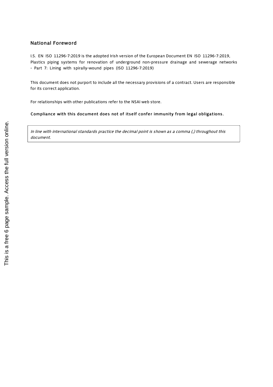### National Foreword

I.S. EN ISO 11296-7:2019 is the adopted Irish version of the European Document EN ISO 11296-7:2019, Plastics piping systems for renovation of underground non-pressure drainage and sewerage networks - Part 7: Lining with spirally-wound pipes (ISO 11296-7:2019)

This document does not purport to include all the necessary provisions of a contract. Users are responsible for its correct application.

For relationships with other publications refer to the NSAI web store.

### Compliance with this document does not of itself confer immunity from legal obligations.

In line with international standards practice the decimal point is shown as a comma (,) throughout this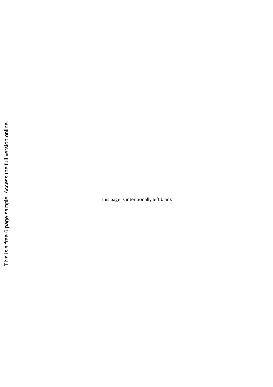This page is intentionally left blank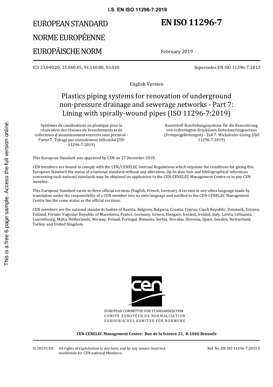# EUROPEAN STANDARD NORME EUROPÉENNE EUROPÄISCHE NORM

## **EN ISO 11296-7**

February 2019

ICS 23.040.20; 23.040.45; 91.140.80; 93.030 Supersedes EN ISO 11296-7:2013

English Version

## Plastics piping systems for renovation of underground non-pressure drainage and sewerage networks - Part 7: Lining with spirally-wound pipes (ISO 11296-7:2019)

Systèmes de canalisations en plastique pour la rénovation des réseaux de branchements et de collecteurs d'assainissement enterrés sans pression - Partie 7: Tubage par enroulement hélicoïdal (ISO 11296-7:2019)

 Kunststoff-Rohrleitungssysteme für die Renovierung von erdverlegten drucklosen Entwässerungsnetzen (Freispiegelleitungen) - Teil 7: Wickelrohr-Lining (ISO 11296-7:2019)

This European Standard was approved by CEN on 27 December 2018.

CEN members are bound to comply with the CEN/CENELEC Internal Regulations which stipulate the conditions for giving this European Standard the status of a national standard without any alteration. Up-to-date lists and bibliographical references concerning such national standards may be obtained on application to the CEN-CENELEC Management Centre or to any CEN member.

This European Standard exists in three official versions (English, French, German). A version in any other language made by translation under the responsibility of a CEN member into its own language and notified to the CEN-CENELEC Management Centre has the same status as the official versions.

CEN members are the national standards bodies of Austria, Belgium, Bulgaria, Croatia, Cyprus, Czech Republic, Denmark, Estonia, Finland, Former Yugoslav Republic of Macedonia, France, Germany, Greece, Hungary, Iceland, Ireland, Italy, Latvia, Lithuania, Luxembourg, Malta, Netherlands, Norway, Poland, Portugal, Romania, Serbia, Slovakia, Slovenia, Spain, Sweden, Switzerland, Turkey and United Kingdom.



EUROPEAN COMMITTEE FOR STANDARDIZATION COMITÉ EUROPÉEN DE NORMALISATION EUROPÄISCHES KOMITEE FÜR NORMUNG

**CEN-CENELEC Management Centre: Rue de la Science 23, B-1040 Brussels** 

Ref. No. EN ISO 11296-7:2019 E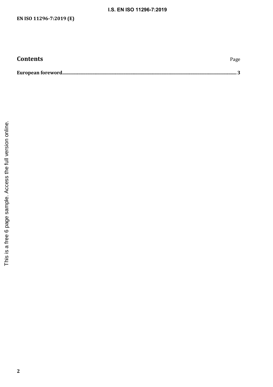## **Contents** Page